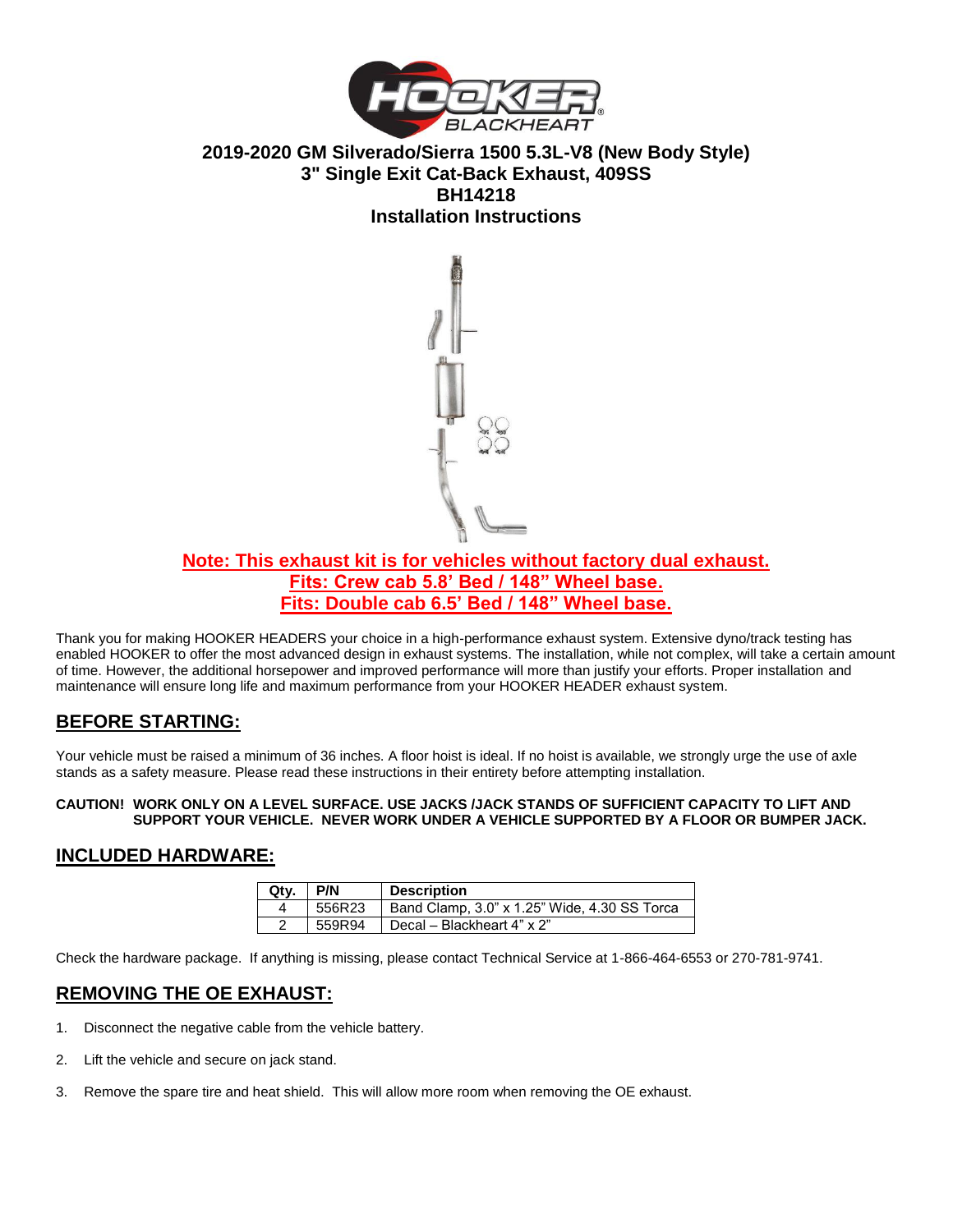

**2019-2020 GM Silverado/Sierra 1500 5.3L-V8 (New Body Style) 3" Single Exit Cat-Back Exhaust, 409SS BH14218 Installation Instructions** 



## **Note: This exhaust kit is for vehicles without factory dual exhaust. Fits: Crew cab 5.8' Bed / 148" Wheel base. Fits: Double cab 6.5' Bed / 148" Wheel base.**

Thank you for making HOOKER HEADERS your choice in a high-performance exhaust system. Extensive dyno/track testing has enabled HOOKER to offer the most advanced design in exhaust systems. The installation, while not complex, will take a certain amount of time. However, the additional horsepower and improved performance will more than justify your efforts. Proper installation and maintenance will ensure long life and maximum performance from your HOOKER HEADER exhaust system.

# **BEFORE STARTING:**

Your vehicle must be raised a minimum of 36 inches. A floor hoist is ideal. If no hoist is available, we strongly urge the use of axle stands as a safety measure. Please read these instructions in their entirety before attempting installation.

#### **CAUTION! WORK ONLY ON A LEVEL SURFACE. USE JACKS /JACK STANDS OF SUFFICIENT CAPACITY TO LIFT AND SUPPORT YOUR VEHICLE. NEVER WORK UNDER A VEHICLE SUPPORTED BY A FLOOR OR BUMPER JACK.**

### **INCLUDED HARDWARE:**

| Qty. | <b>P/N</b> | <b>Description</b>                           |
|------|------------|----------------------------------------------|
|      | 556R23     | Band Clamp, 3.0" x 1.25" Wide, 4.30 SS Torca |
|      | 559R94     | Decal - Blackheart 4" x 2"                   |

Check the hardware package. If anything is missing, please contact Technical Service at 1-866-464-6553 or 270-781-9741.

### **REMOVING THE OE EXHAUST:**

- 1. Disconnect the negative cable from the vehicle battery.
- 2. Lift the vehicle and secure on jack stand.
- 3. Remove the spare tire and heat shield. This will allow more room when removing the OE exhaust.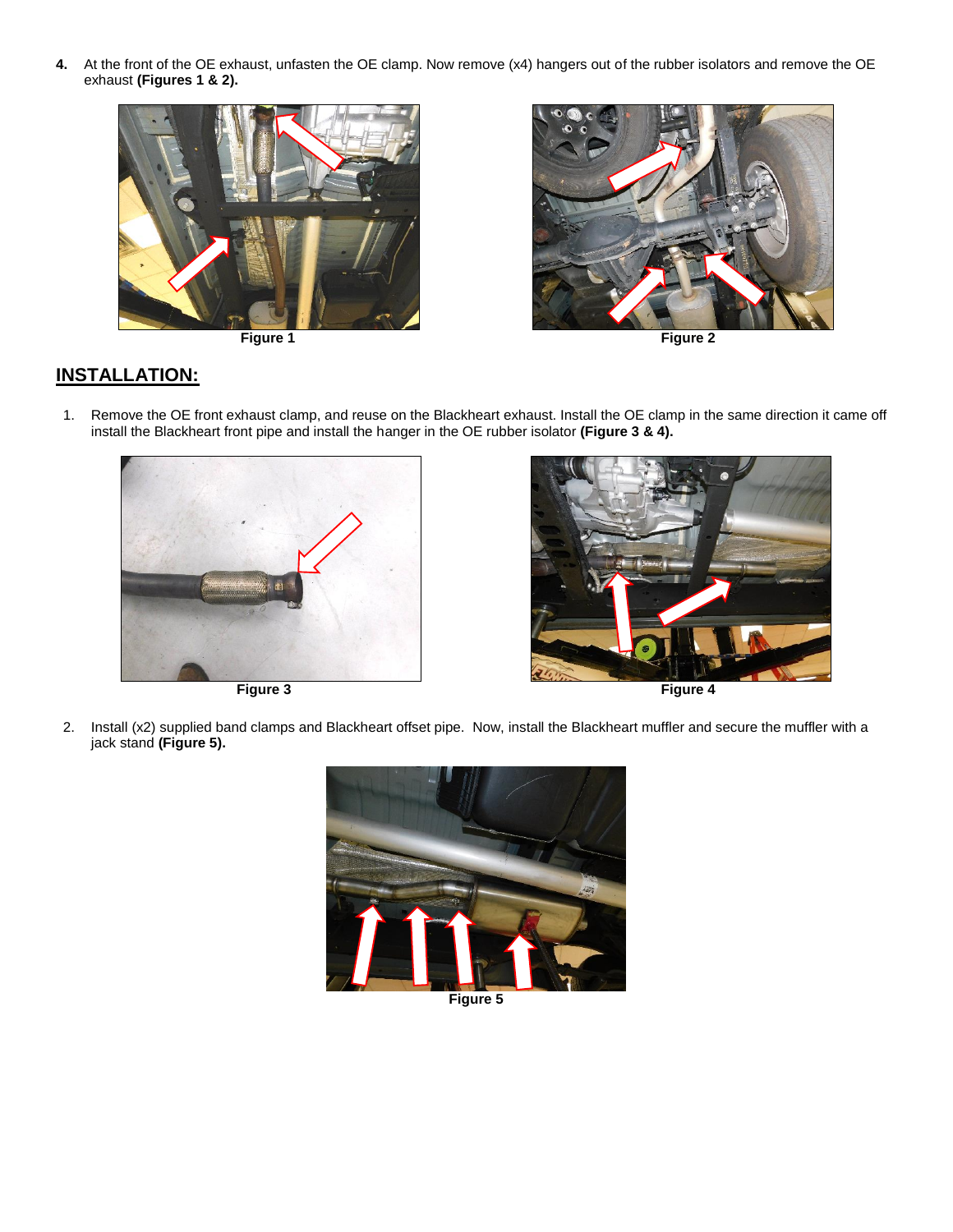**4.** At the front of the OE exhaust, unfasten the OE clamp. Now remove (x4) hangers out of the rubber isolators and remove the OE exhaust **(Figures 1 & 2).**







**Figure 1** Figure 1

# **INSTALLATION:**

1. Remove the OE front exhaust clamp, and reuse on the Blackheart exhaust. Install the OE clamp in the same direction it came off install the Blackheart front pipe and install the hanger in the OE rubber isolator **(Figure 3 & 4).**





2. Install (x2) supplied band clamps and Blackheart offset pipe. Now, install the Blackheart muffler and secure the muffler with a jack stand **(Figure 5).**



**Figure 5**